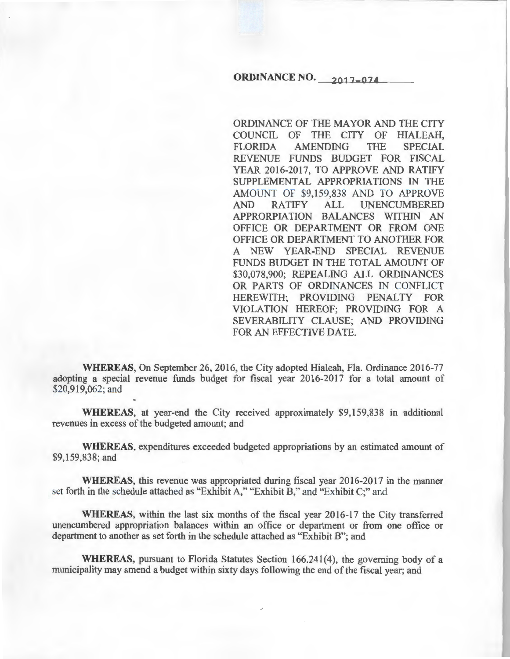# **ORDINANCE NO. 2017-074**

ORDINANCE OF THE MAYOR AND THE CITY COUNCIL OF THE CITY OF HIALEAH, FLORIDA AMENDING THE SPECIAL REVENUE FUNDS BUDGET FOR FISCAL YEAR 2016-2017, TO APPROVE AND RATIFY SUPPLEMENTAL APPROPRIATIONS IN THE AMOUNT OF \$9,159,838 AND TO APPROVE AND RATIFY ALL UNENCUMBERED APPRORPIATION BALANCES WITHIN AN OFFICE OR DEPARTMENT OR FROM ONE OFFICE OR DEPARTMENT TO ANOTHER FOR A NEW YEAR-END SPECIAL REVENUE FUNDS BUDGET IN THE TOTAL AMOUNT OF \$30,078,900; REPEALING ALL ORDINANCES OR PARTS OF ORDINANCES IN CONFLICT HEREWITH; PROVIDING PENALTY FOR VIOLATION HEREOF; PROVIDING FOR A SEVERABILITY CLAUSE; AND PROVIDING FOR AN EFFECTIVE DATE.

**WHEREAS,** On September 26, 2016, the City adopted Hialeah, Fla. Ordinance 2016-77 adopting a special revenue funds budget for fiscal year 2016-2017 for a total amount of \$20,919,062; and

**WHEREAS,** at year-end the City received approximately \$9,159,838 in additional revenues in excess of the budgeted amount; and

**WHEREAS,** expenditures exceeded budgeted appropriations by an estimated amount of \$9,159,838; and

**WHEREAS,** this revenue was appropriated during fiscal year 2016-2017 in the manner set forth in the schedule attached as "Exhibit A," "Exhibit B," and "Exhibit C;" and

**WHEREAS,** within the last six months of the fiscal year 2016-17 the City transferred unencumbered appropriation balances within an office or department or from one office or department to another as set forth in the schedule attached as "Exhibit B"; and

**WHEREAS,** pursuant to Florida Statutes Section 166.241(4), the governing body of a municipality may amend a budget within sixty days following the end of the fiscal year; and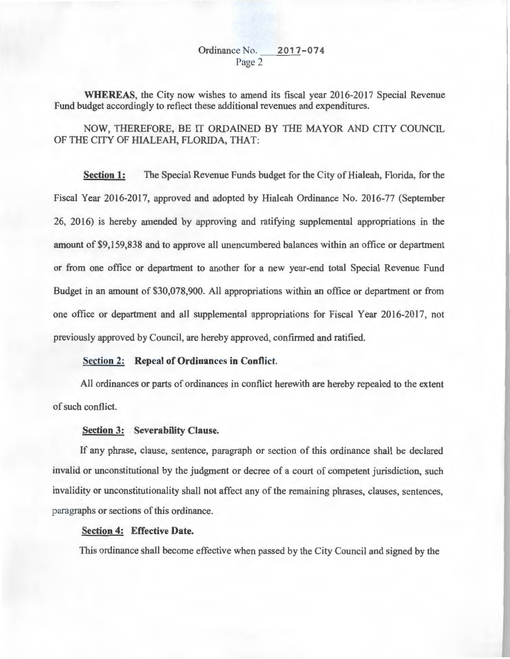## Ordinance No. 2017-074 Page 2

**WHEREAS,** the City now wishes to amend its fiscal year 2016-2017 Special Revenue Fund budget accordingly to reflect these additional revenues and expenditures.

NOW, THEREFORE, BE IT ORDAINED BY THE MAYOR AND CITY COUNCIL OF THE CITY OF HIALEAH, FLORIDA, THAT:

**Section 1:** The Special Revenue Funds budget for the City of Hialeah, Florida, for the Fiscal Year 2016-2017, approved and adopted by Hialeah Ordinance No. 2016-77 (September 26, 20 16) is hereby amended by approving and ratifying supplemental appropriations in the amount of \$9,159,838 and to approve all unencumbered balances within an office or department or from one office or department to another for a new year-end total Special Revenue Fund Budget in an amount of \$30,078,900. All appropriations within an office or department or from one office or department and all supplemental appropriations for Fiscal Year 2016-2017, not previously approved by Council, are hereby approved, confirmed and ratified.

#### **Section 2: Repeal of Ordinances in Conflict.**

All ordinances or parts of ordinances in conflict herewith are hereby repealed to the extent of such conflict.

#### **Section 3: Severability Clause.**

If any phrase, clause, sentence, paragraph or section of this ordinance shall be declared invalid or unconstitutional by the judgment or decree of a court of competent jurisdiction, such invalidity or unconstitutionality shall not affect any of the remaining phrases, clauses, sentences, paragraphs or sections of this ordinance.

### **Section 4: Effective Date.**

This ordinance shall become effective when passed by the City Council and signed by the